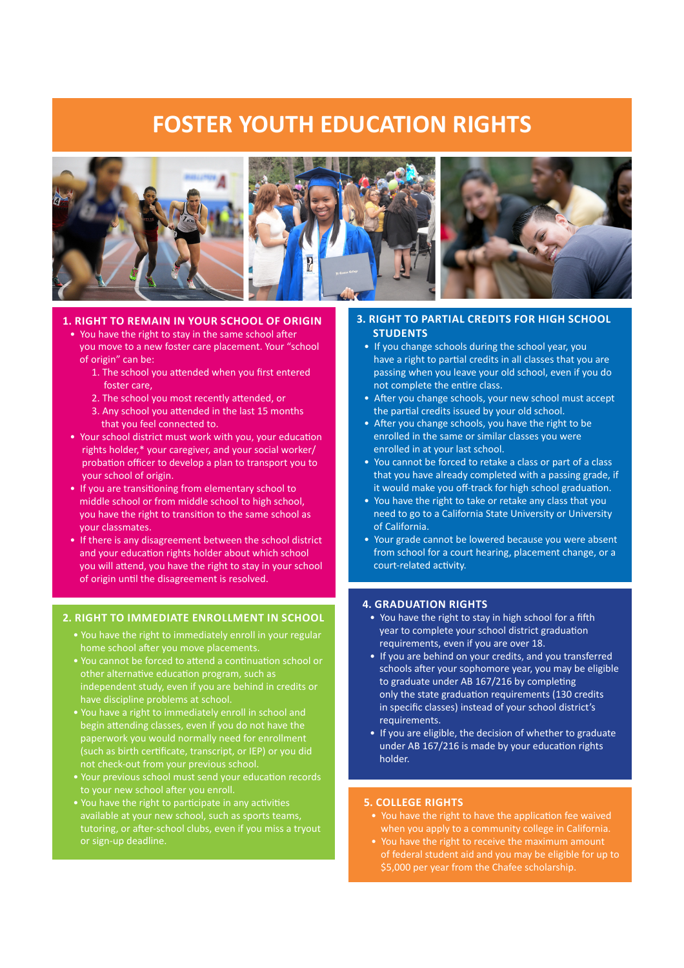# **FOSTER YOUTH EDUCATION RIGHTS**



## **1. RIGHT TO REmAIN IN YOUR SCHOOl OF ORIGIN**

- You have the right to stay in the same school after you move to a new foster care placement. Your "school of origin" can be:
	- 1. The school you atended when you frst entered foster care,
	- 2. The school you most recently attended, or
	- 3. Any school you atended in the last 15 months that you feel connected to.
- Your school district must work with you, your educaton rights holder,\* your caregiver, and your social worker/ probation officer to develop a plan to transport you to your school of origin.
- If you are transitoning from elementary school to middle school or from middle school to high school, you have the right to transiton to the same school as your classmates.
- If there is any disagreement between the school district and your educaton rights holder about which school you will attend, you have the right to stay in your school of origin until the disagreement is resolved.

## **2. RIGHT TO ImmEDIATE ENROllmENT IN SCHOOl**

- You have the right to immediately enroll in your regular home school after you move placements.
- You cannot be forced to attend a continuation school or other alternative education program, such as independent study, even if you are behind in credits or have discipline problems at school.
- You have a right to immediately enroll in school and begin atending classes, even if you do not have the paperwork you would normally need for enrollment (such as birth certificate, transcript, or IEP) or you did
- Your previous school must send your education records
- You have the right to participate in any activities available at your new school, such as sports teams, tutoring, or after-school clubs, even if you miss a tryout or sign-up deadline.

### **3. RIGHT TO PARTIAl CREDITS FOR HIGH SCHOOl STUDENTS**

- If you change schools during the school year, you have a right to partial credits in all classes that you are passing when you leave your old school, even if you do not complete the entre class.
- After you change schools, your new school must accept the partial credits issued by your old school.
- After you change schools, you have the right to be enrolled in the same or similar classes you were enrolled in at your last school.
- You cannot be forced to retake a class or part of a class that you have already completed with a passing grade, if it would make you off-track for high school graduation.
- You have the right to take or retake any class that you need to go to a California State University or University of California.
- Your grade cannot be lowered because you were absent from school for a court hearing, placement change, or a court-related activity.

#### **4. GRADUATION RIGHTS**

- You have the right to stay in high school for a fifth year to complete your school district graduaton requirements, even if you are over 18.
- If you are behind on your credits, and you transferred schools after your sophomore year, you may be eligible to graduate under AB 167/216 by completing only the state graduation requirements (130 credits in specifc classes) instead of your school district's requirements.
- If you are eligible, the decision of whether to graduate under AB 167/216 is made by your education rights holder.

#### **5. COllEGE RIGHTS**

- You have the right to have the application fee waived when you apply to a community college in California.
- You have the right to receive the maximum amount of federal student aid and you may be eligible for up to \$5,000 per year from the Chafee scholarship.